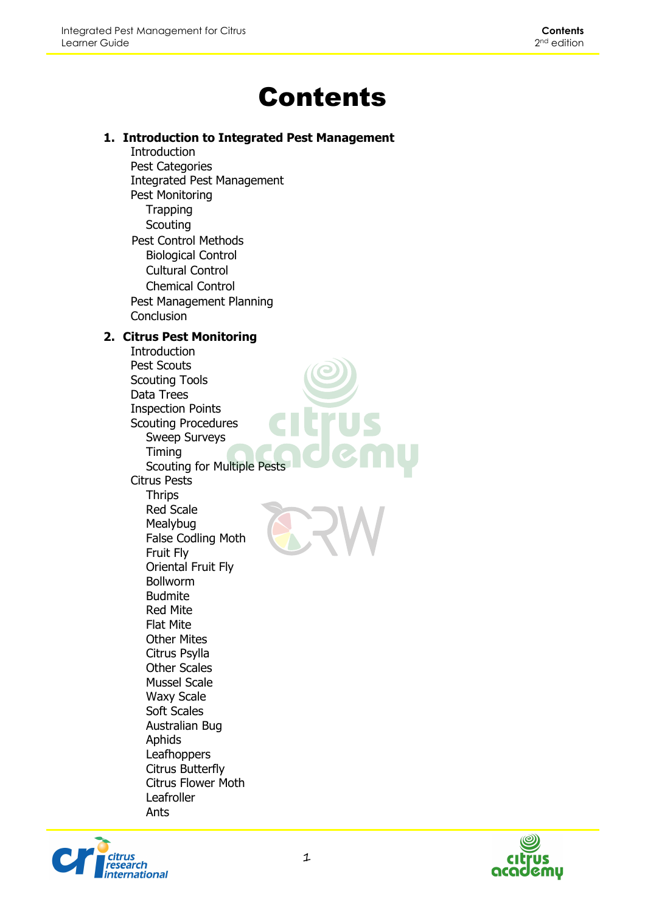## Contents

## **1. Introduction to Integrated Pest Management**

Introduction Pest Categories Integrated Pest Management Pest Monitoring **Trapping Scouting** Pest Control Methods Biological Control Cultural Control Chemical Control Pest Management Planning **Conclusion** 

## **2. Citrus Pest Monitoring**

Introduction Pest Scouts Scouting Tools Data Trees Inspection Points Scouting Procedures Sweep Surveys Timing Scouting for Multiple Pests Citrus Pests **Thrips** Red Scale Mealybug False Codling Moth Fruit Fly Oriental Fruit Fly Bollworm Budmite Red Mite Flat Mite Other Mites Citrus Psylla Other Scales Mussel Scale Waxy Scale Soft Scales Australian Bug Aphids **Leafhoppers** Citrus Butterfly Citrus Flower Moth Leafroller Ants